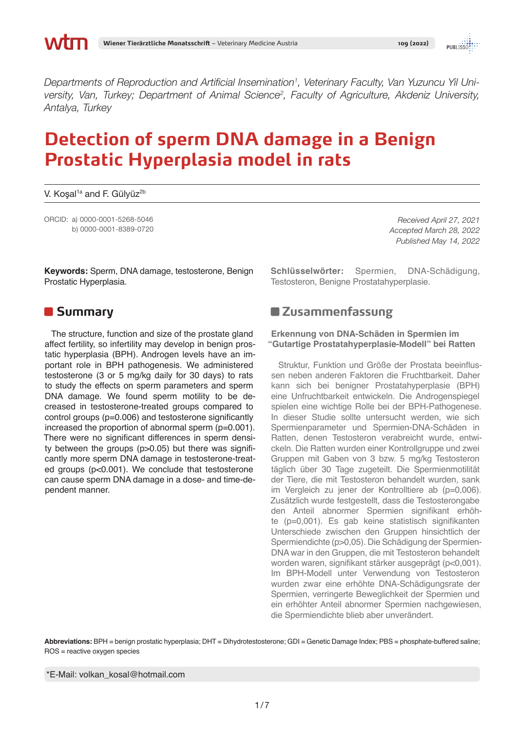*Departments of Reproduction and Artificial Insemination<sup>1</sup> , Veterinary Faculty, Van Yuzuncu Yil University, Van, Turkey; Department of Animal Science<sup>2</sup> , Faculty of Agriculture, Akdeniz University, Antalya, Turkey*

# **Detection of sperm DNA damage in a Benign Prostatic Hyperplasia model in rats**

V. Koşal<sup>1a</sup> and F. Gülyüz<sup>2b</sup>

ORCID: a) 0000-0001-5268-5046 b) 0000-0001-8389-0720

*Received April 27, 2021 Accepted March 28, 2022 Published May 14, 2022*

**Keywords:** Sperm, DNA damage, testosterone, Benign Prostatic Hyperplasia.

### **B** Summary

The structure, function and size of the prostate gland affect fertility, so infertility may develop in benign prostatic hyperplasia (BPH). Androgen levels have an important role in BPH pathogenesis. We administered testosterone (3 or 5 mg/kg daily for 30 days) to rats to study the effects on sperm parameters and sperm DNA damage. We found sperm motility to be decreased in testosterone-treated groups compared to control groups (p=0.006) and testosterone significantly increased the proportion of abnormal sperm (p=0.001). There were no significant differences in sperm density between the groups (p>0.05) but there was significantly more sperm DNA damage in testosterone-treated groups (p<0.001). We conclude that testosterone can cause sperm DNA damage in a dose- and time-dependent manner.

**Schlüsselwörter:** Spermien, DNA-Schädigung, Testosteron, Benigne Prostatahyperplasie.

### **Zusammenfassung**

#### **Erkennung von DNA-Schäden in Spermien im "Gutartige Prostatahyperplasie-Modell" bei Ratten**

Struktur, Funktion und Größe der Prostata beeinflussen neben anderen Faktoren die Fruchtbarkeit. Daher kann sich bei benigner Prostatahyperplasie (BPH) eine Unfruchtbarkeit entwickeln. Die Androgenspiegel spielen eine wichtige Rolle bei der BPH-Pathogenese. In dieser Studie sollte untersucht werden, wie sich Spermienparameter und Spermien-DNA-Schäden in Ratten, denen Testosteron verabreicht wurde, entwickeln. Die Ratten wurden einer Kontrollgruppe und zwei Gruppen mit Gaben von 3 bzw. 5 mg/kg Testosteron täglich über 30 Tage zugeteilt. Die Spermienmotilität der Tiere, die mit Testosteron behandelt wurden, sank im Vergleich zu jener der Kontrolltiere ab (p=0,006). Zusätzlich wurde festgestellt, dass die Testosterongabe den Anteil abnormer Spermien signifikant erhöhte (p=0,001). Es gab keine statistisch signifikanten Unterschiede zwischen den Gruppen hinsichtlich der Spermiendichte (p>0,05). Die Schädigung der Spermien-DNA war in den Gruppen, die mit Testosteron behandelt worden waren, signifikant stärker ausgeprägt (p<0,001). Im BPH-Modell unter Verwendung von Testosteron wurden zwar eine erhöhte DNA-Schädigungsrate der Spermien, verringerte Beweglichkeit der Spermien und ein erhöhter Anteil abnormer Spermien nachgewiesen, die Spermiendichte blieb aber unverändert.

**Abbreviations:** BPH = benign prostatic hyperplasia; DHT = Dihydrotestosterone; GDI = Genetic Damage Index; PBS = phosphate-buffered saline; ROS = reactive oxygen species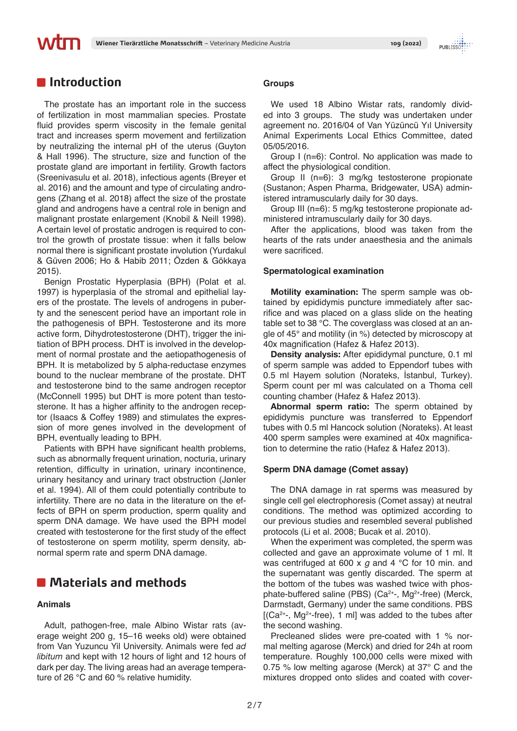## **Introduction**

MФП

The prostate has an important role in the success of fertilization in most mammalian species. Prostate fluid provides sperm viscosity in the female genital tract and increases sperm movement and fertilization by neutralizing the internal pH of the uterus (Guyton & Hall 1996). The structure, size and function of the prostate gland are important in fertility. Growth factors (Sreenivasulu et al. 2018), infectious agents (Breyer et al. 2016) and the amount and type of circulating androgens (Zhang et al. 2018) affect the size of the prostate gland and androgens have a central role in benign and malignant prostate enlargement (Knobil & Neill 1998). A certain level of prostatic androgen is required to control the growth of prostate tissue: when it falls below normal there is significant prostate involution (Yurdakul & Güven 2006; Ho & Habib 2011; Özden & Gökkaya 2015).

Benign Prostatic Hyperplasia (BPH) (Polat et al. 1997) is hyperplasia of the stromal and epithelial layers of the prostate. The levels of androgens in puberty and the senescent period have an important role in the pathogenesis of BPH. Testosterone and its more active form, Dihydrotestosterone (DHT), trigger the initiation of BPH process. DHT is involved in the development of normal prostate and the aetiopathogenesis of BPH. It is metabolized by 5 alpha-reductase enzymes bound to the nuclear membrane of the prostate. DHT and testosterone bind to the same androgen receptor (McConnell 1995) but DHT is more potent than testosterone. It has a higher affinity to the androgen receptor (Isaacs & Coffey 1989) and stimulates the expression of more genes involved in the development of BPH, eventually leading to BPH.

Patients with BPH have significant health problems, such as abnormally frequent urination, nocturia, urinary retention, difficulty in urination, urinary incontinence, urinary hesitancy and urinary tract obstruction (Jønler et al. 1994). All of them could potentially contribute to infertility. There are no data in the literature on the effects of BPH on sperm production, sperm quality and sperm DNA damage. We have used the BPH model created with testosterone for the first study of the effect of testosterone on sperm motility, sperm density, abnormal sperm rate and sperm DNA damage.

## **Materials and methods**

#### **Animals**

Adult, pathogen-free, male Albino Wistar rats (average weight 200 g, 15–16 weeks old) were obtained from Van Yuzuncu Yil University. Animals were fed *ad libitum* and kept with 12 hours of light and 12 hours of dark per day. The living areas had an average temperature of 26 °C and 60 % relative humidity.

### **Groups**

We used 18 Albino Wistar rats, randomly divided into 3 groups. The study was undertaken under agreement no. 2016/04 of Van Yüzüncü Yıl University Animal Experiments Local Ethics Committee, dated 05/05/2016.

Group I (n=6): Control. No application was made to affect the physiological condition.

Group II (n=6): 3 mg/kg testosterone propionate (Sustanon; Aspen Pharma, Bridgewater, USA) administered intramuscularly daily for 30 days.

Group III (n=6): 5 mg/kg testosterone propionate administered intramuscularly daily for 30 days.

After the applications, blood was taken from the hearts of the rats under anaesthesia and the animals were sacrificed.

#### **Spermatological examination**

**Motility examination:** The sperm sample was obtained by epididymis puncture immediately after sacrifice and was placed on a glass slide on the heating table set to 38 °C. The coverglass was closed at an angle of 45° and motility (in %) detected by microscopy at 40x magnification (Hafez & Hafez 2013).

**Density analysis:** After epididymal puncture, 0.1 ml of sperm sample was added to Eppendorf tubes with 0.5 ml Hayem solution (Norateks, İstanbul, Turkey). Sperm count per ml was calculated on a Thoma cell counting chamber (Hafez & Hafez 2013).

**Abnormal sperm ratio:** The sperm obtained by epididymis puncture was transferred to Eppendorf tubes with 0.5 ml Hancock solution (Norateks). At least 400 sperm samples were examined at 40x magnification to determine the ratio (Hafez & Hafez 2013).

#### **Sperm DNA damage (Comet assay)**

The DNA damage in rat sperms was measured by single cell gel electrophoresis (Comet assay) at neutral conditions. The method was optimized according to our previous studies and resembled several published protocols (Li et al. 2008; Bucak et al. 2010).

When the experiment was completed, the sperm was collected and gave an approximate volume of 1 ml. It was centrifuged at 600 x *g* and 4 °C for 10 min. and the supernatant was gently discarded. The sperm at the bottom of the tubes was washed twice with phosphate-buffered saline (PBS) (Ca<sup>2+</sup>-, Mg<sup>2+</sup>-free) (Merck, Darmstadt, Germany) under the same conditions. PBS  $[$ (Ca<sup>2+</sup>-, Mg<sup>2+</sup>-free), 1 ml] was added to the tubes after the second washing.

Precleaned slides were pre-coated with 1 % normal melting agarose (Merck) and dried for 24h at room temperature. Roughly 100,000 cells were mixed with 0.75 % low melting agarose (Merck) at 37° C and the mixtures dropped onto slides and coated with cover-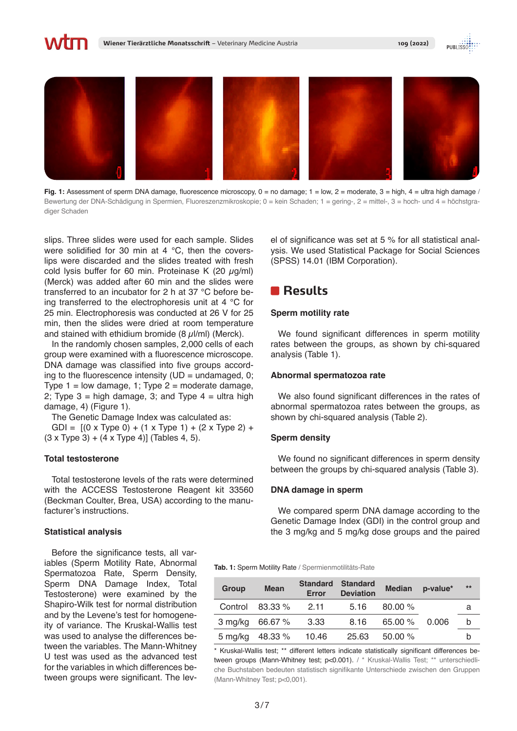



Fig. 1: Assessment of sperm DNA damage, fluorescence microscopy, 0 = no damage; 1 = low, 2 = moderate, 3 = high, 4 = ultra high damage / Bewertung der DNA-Schädigung in Spermien, Fluoreszenzmikroskopie; 0 = kein Schaden; 1 = gering-, 2 = mittel-, 3 = hoch- und 4 = höchstgradiger Schaden

slips. Three slides were used for each sample. Slides were solidified for 30 min at 4 °C, then the coverslips were discarded and the slides treated with fresh cold lysis buffer for 60 min. Proteinase K (20  $\mu$ g/ml) (Merck) was added after 60 min and the slides were transferred to an incubator for 2 h at 37 °C before being transferred to the electrophoresis unit at 4 °C for 25 min. Electrophoresis was conducted at 26 V for 25 min, then the slides were dried at room temperature and stained with ethidium bromide  $(8 \mu I/ml)$  (Merck).

In the randomly chosen samples, 2,000 cells of each group were examined with a fluorescence microscope. DNA damage was classified into five groups according to the fluorescence intensity ( $UD =$  undamaged, 0; Type  $1 =$  low damage,  $1$ ; Type  $2 =$  moderate damage, 2; Type  $3 =$  high damage, 3; and Type  $4 =$  ultra high damage, 4) (Figure 1).

The Genetic Damage Index was calculated as:

GDI =  $[(0 \times Type 0) + (1 \times Type 1) + (2 \times Type 2) +$  $(3 \times Type 3) + (4 \times Type 4)$  (Tables 4, 5).

#### **Total testosterone**

Total testosterone levels of the rats were determined with the ACCESS Testosterone Reagent kit 33560 (Beckman Coulter, Brea, USA) according to the manufacturer's instructions.

#### **Statistical analysis**

Before the significance tests, all variables (Sperm Motility Rate, Abnormal Spermatozoa Rate, Sperm Density, Sperm DNA Damage Index, Total Testosterone) were examined by the Shapiro-Wilk test for normal distribution and by the Levene's test for homogeneity of variance. The Kruskal-Wallis test was used to analyse the differences between the variables. The Mann-Whitney U test was used as the advanced test for the variables in which differences between groups were significant. The level of significance was set at 5 % for all statistical analysis. We used Statistical Package for Social Sciences (SPSS) 14.01 (IBM Corporation).

### **Results**

#### **Sperm motility rate**

We found significant differences in sperm motility rates between the groups, as shown by chi-squared analysis (Table 1).

#### **Abnormal spermatozoa rate**

We also found significant differences in the rates of abnormal spermatozoa rates between the groups, as shown by chi-squared analysis (Table 2).

#### **Sperm density**

We found no significant differences in sperm density between the groups by chi-squared analysis (Table 3).

#### **DNA damage in sperm**

We compared sperm DNA damage according to the Genetic Damage Index (GDI) in the control group and the 3 mg/kg and 5 mg/kg dose groups and the paired

**Tab. 1:** Sperm Motility Rate / Spermienmotilitäts-Rate

| <b>Group</b> | <b>Mean</b>           | <b>Error</b> | <b>Standard Standard</b><br><b>Deviation</b> | <b>Median</b> | p-value* | $***$ |
|--------------|-----------------------|--------------|----------------------------------------------|---------------|----------|-------|
|              | Control $83.33\%$     | 2.11         | - 5.16                                       | $80.00\%$     |          | a     |
|              | 3 mg/kg 66.67 %       | 3.33         | 8.16                                         | $65.00\%$     | 0.006    | b     |
|              | 5 mg/kg 48.33 % 10.46 |              | 25.63                                        | 50.00%        |          | n     |

\* Kruskal-Wallis test; \*\* different letters indicate statistically significant differences between groups (Mann-Whitney test; p<0.001). / \* Kruskal-Wallis Test; \*\* unterschiedliche Buchstaben bedeuten statistisch signifikante Unterschiede zwischen den Gruppen (Mann-Whitney Test; p<0,001).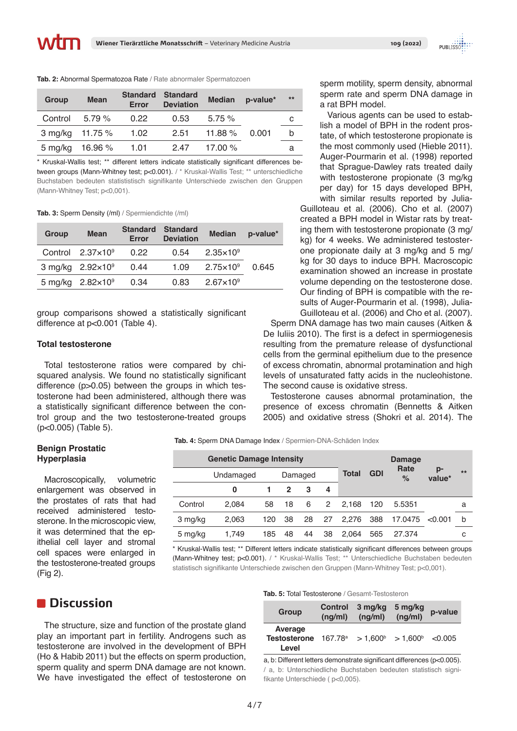| Group   | <b>Mean</b>     | Error | <b>Standard Standard</b><br><b>Deviation</b> | <b>Median</b> | p-value* | $**$ |
|---------|-----------------|-------|----------------------------------------------|---------------|----------|------|
| Control | 5.79%           | 0.22  | 0.53                                         | 5.75%         |          | С    |
|         | 3 mg/kg 11.75 % | 1.02  | 2.51                                         | 11.88 $\%$    | 0.001    | b    |
|         | 5 mg/kg 16.96 % | 1.01  | 2.47                                         | 17.00 $\%$    |          | а    |

\* Kruskal-Wallis test; \*\* different letters indicate statistically significant differences between groups (Mann-Whitney test; p<0.001). / \* Kruskal-Wallis Test; \*\* unterschiedliche Buchstaben bedeuten statististisch signifikante Unterschiede zwischen den Gruppen (Mann-Whitney Test; p<0,001).

**Tab. 3:** Sperm Density (/ml) / Spermiendichte (/ml)

| Group | <b>Mean</b>                | <b>Standard</b><br>Error | <b>Standard</b><br><b>Deviation</b> | <b>Median</b>        | p-value* |
|-------|----------------------------|--------------------------|-------------------------------------|----------------------|----------|
|       | Control $2.37\times10^9$   | 0.22                     | 0.54                                | $2.35 \times 10^9$   |          |
|       | 3 mg/kg $2.92 \times 10^9$ | 0.44                     | 1.09                                | $2.75 \times 10^{9}$ | 0 645    |
|       | 5 mg/kg $2.82 \times 10^9$ | 0.34                     | 0.83                                | $2.67 \times 10^9$   |          |

group comparisons showed a statistically significant difference at p<0.001 (Table 4).

#### **Total testosterone**

**Benign Prostatic Hyperplasia**

Macroscopically, volumetric enlargement was observed in the prostates of rats that had received administered testosterone. In the microscopic view, it was determined that the epithelial cell layer and stromal cell spaces were enlarged in the testosterone-treated groups

Total testosterone ratios were compared by chisquared analysis. We found no statistically significant difference (p>0.05) between the groups in which testosterone had been administered, although there was a statistically significant difference between the control group and the two testosterone-treated groups (p<0.005) (Table 5).

### sperm motility, sperm density, abnormal sperm rate and sperm DNA damage in a rat BPH model.

Various agents can be used to establish a model of BPH in the rodent prostate, of which testosterone propionate is the most commonly used (Hieble 2011). Auger-Pourmarin et al. (1998) reported that Sprague-Dawley rats treated daily with testosterone propionate (3 mg/kg) per day) for 15 days developed BPH, with similar results reported by Julia-

Guilloteau et al. (2006). Cho et al. (2007) created a BPH model in Wistar rats by treating them with testosterone propionate (3 mg/ kg) for 4 weeks. We administered testosterone propionate daily at 3 mg/kg and 5 mg/ kg for 30 days to induce BPH. Macroscopic examination showed an increase in prostate volume depending on the testosterone dose. Our finding of BPH is compatible with the results of Auger-Pourmarin et al. (1998), Julia-Guilloteau et al. (2006) and Cho et al. (2007).

Sperm DNA damage has two main causes (Aitken & De Iuliis 2010). The first is a defect in spermiogenesis resulting from the premature release of dysfunctional cells from the germinal epithelium due to the presence of excess chromatin, abnormal protamination and high levels of unsaturated fatty acids in the nucleohistone. The second cause is oxidative stress.

Testosterone causes abnormal protamination, the presence of excess chromatin (Bennetts & Aitken 2005) and oxidative stress (Shokri et al. 2014). The

**Tab. 4:** Sperm DNA Damage Index / Spermien-DNA-Schäden Index

#### **Genetic Damage Intensity Total GDI Damage Rate % p-**Undamaged Damaged **Total GDI** 1010 March 11 **0 1 2 3 4** Control 2,084 58 18 6 2 2,168 120 5.5351  $< 0.001$ a 3 mg/kg 2,063 120 38 28 27 2,276 388 17.0475 b 5 mg/kg 1,749 185 48 44 38 2,064 565 27.374 c

\* Kruskal-Wallis test; \*\* Different letters indicate statistically significant differences between groups (Mann-Whitney test; p<0.001). / \* Kruskal-Wallis Test; \*\* Unterschiedliche Buchstaben bedeuten statistisch signifikante Unterschiede zwischen den Gruppen (Mann-Whitney Test; p<0,001).

## **n**Discussion

(Fig 2).

The structure, size and function of the prostate gland play an important part in fertility. Androgens such as testosterone are involved in the development of BPH (Ho & Habib 2011) but the effects on sperm production, sperm quality and sperm DNA damage are not known. We have investigated the effect of testosterone on

#### **Tab. 5:** Total Testosterone / Gesamt-Testosteron

| Group                                                                      | Control<br>(nq/ml) | 3 mg/kg<br>(ng/ml) | 5 mg/kg<br>(ng/ml) | p-value |
|----------------------------------------------------------------------------|--------------------|--------------------|--------------------|---------|
| Average<br>Testosterone $167.78^a$ > $1,600^b$ > $1,600^b$ <0.005<br>Level |                    |                    |                    |         |

a, b: Different letters demonstrate significant differences (p<0.005). / a, b: Unterschiedliche Buchstaben bedeuten statistisch signifikante Unterschiede ( p<0,005).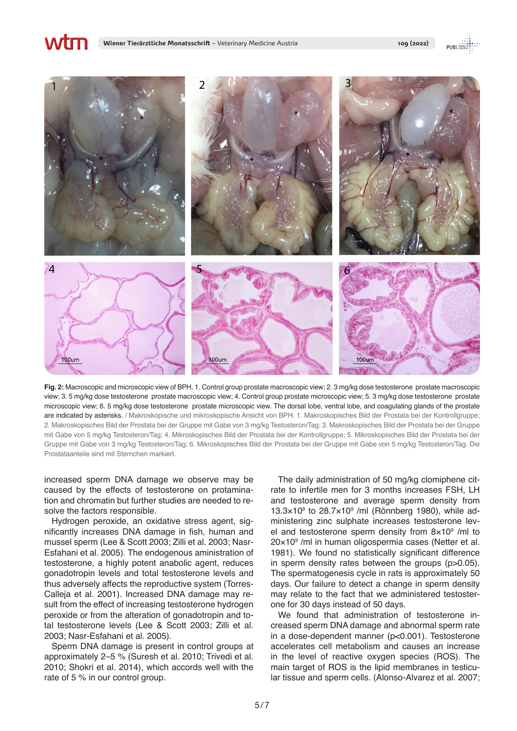**Wiener Tierärztliche Monatsschrift** – Veterinary Medicine Austria **109 (2022)**

**Wtm** 





**Fig. 2:** Macroscopic and microscopic view of BPH. 1. Control group prostate macroscopic view; 2. 3 mg/kg dose testosterone prostate macroscopic view; 3. 5 mg/kg dose testosterone prostate macroscopic view; 4. Control group prostate microscopic view; 5. 3 mg/kg dose testosterone prostate microscopic view; 6. 5 mg/kg dose testosterone prostate microscopic view. The dorsal lobe, ventral lobe, and coagulating glands of the prostate are indicated by asterisks. / Makroskopische und mikroskopische Ansicht von BPH. 1. Makroskopisches Bild der Prostata bei der Kontrollgruppe; 2. Makroskopisches Bild der Prostata bei der Gruppe mit Gabe von 3 mg/kg Testosteron/Tag; 3. Makroskopisches Bild der Prostata bei der Gruppe mit Gabe von 5 mg/kg Testosteron/Tag; 4. Mikroskopisches Bild der Prostata bei der Kontrollgruppe; 5. Mikroskopisches Bild der Prostata bei der Gruppe mit Gabe von 3 mg/kg Testosteron/Tag; 6. Mikroskopisches Bild der Prostata bei der Gruppe mit Gabe von 5 mg/kg Testosteron/Tag. Die Prostataanteile sind mit Sternchen markiert.

increased sperm DNA damage we observe may be caused by the effects of testosterone on protamination and chromatin but further studies are needed to resolve the factors responsible.

Hydrogen peroxide, an oxidative stress agent, significantly increases DNA damage in fish, human and mussel sperm (Lee & Scott 2003; Zilli et al. 2003; Nasr-Esfahani et al. 2005). The endogenous aministration of testosterone, a highly potent anabolic agent, reduces gonadotropin levels and total testosterone levels and thus adversely affects the reproductive system (Torres-Calleja et al. 2001). Increased DNA damage may result from the effect of increasing testosterone hydrogen peroxide or from the alteration of gonadotropin and total testosterone levels (Lee & Scott 2003; Zilli et al. 2003; Nasr-Esfahani et al. 2005).

Sperm DNA damage is present in control groups at approximately 2–5 % (Suresh et al. 2010; Trivedi et al. 2010; Shokri et al. 2014), which accords well with the rate of 5 % in our control group.

The daily administration of 50 mg/kg clomiphene citrate to infertile men for 3 months increases FSH, LH and testosterone and average sperm density from  $13.3\times10^9$  to  $28.7\times10^9$  /ml (Rönnberg 1980), while administering zinc sulphate increases testosterone level and testosterone sperm density from  $8\times10^9$  /ml to 20×109 /ml in human oligospermia cases (Netter et al. 1981). We found no statistically significant difference in sperm density rates between the groups (p>0.05). The spermatogenesis cycle in rats is approximately 50 days. Our failure to detect a change in sperm density may relate to the fact that we administered testosterone for 30 days instead of 50 days.

We found that administration of testosterone increased sperm DNA damage and abnormal sperm rate in a dose-dependent manner (p<0.001). Testosterone accelerates cell metabolism and causes an increase in the level of reactive oxygen species (ROS). The main target of ROS is the lipid membranes in testicular tissue and sperm cells. (Alonso-Alvarez et al. 2007;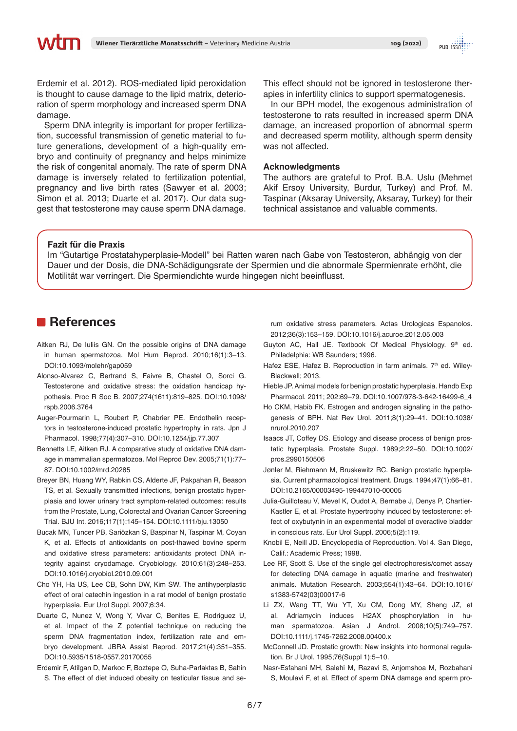Erdemir et al. 2012). ROS-mediated lipid peroxidation is thought to cause damage to the lipid matrix, deterioration of sperm morphology and increased sperm DNA damage.

Sperm DNA integrity is important for proper fertilization, successful transmission of genetic material to future generations, development of a high-quality embryo and continuity of pregnancy and helps minimize the risk of congenital anomaly. The rate of sperm DNA damage is inversely related to fertilization potential, pregnancy and live birth rates (Sawyer et al. 2003; Simon et al. 2013; Duarte et al. 2017). Our data suggest that testosterone may cause sperm DNA damage.

This effect should not be ignored in testosterone therapies in infertility clinics to support spermatogenesis.

In our BPH model, the exogenous administration of testosterone to rats resulted in increased sperm DNA damage, an increased proportion of abnormal sperm and decreased sperm motility, although sperm density was not affected.

#### **Acknowledgments**

The authors are grateful to Prof. B.A. Uslu (Mehmet Akif Ersoy University, Burdur, Turkey) and Prof. M. Taspinar (Aksaray University, Aksaray, Turkey) for their technical assistance and valuable comments.

#### **Fazit für die Praxis**

Im "Gutartige Prostatahyperplasie-Modell" bei Ratten waren nach Gabe von Testosteron, abhängig von der Dauer und der Dosis, die DNA-Schädigungsrate der Spermien und die abnormale Spermienrate erhöht, die Motilität war verringert. Die Spermiendichte wurde hingegen nicht beeinflusst.

### **References**

- Aitken RJ, De Iuliis GN. On the possible origins of DNA damage in human spermatozoa. Mol Hum Reprod. 2010;16(1):3–13. DOI:10.1093/molehr/gap059
- Alonso-Alvarez C, Bertrand S, Faivre B, Chastel O, Sorci G. Testosterone and oxidative stress: the oxidation handicap hypothesis. Proc R Soc B. 2007;274(1611):819–825. DOI:10.1098/ rspb.2006.3764
- Auger-Pourmarin L, Roubert P, Chabrier PE. Endothelin receptors in testosterone-induced prostatic hypertrophy in rats. Jpn J Pharmacol. 1998;77(4):307–310. DOI:10.1254/jjp.77.307
- Bennetts LE, Aitken RJ. A comparative study of oxidative DNA damage in mammalian spermatozoa. Mol Reprod Dev. 2005;71(1):77– 87. DOI:10.1002/mrd.20285
- Breyer BN, Huang WY, Rabkin CS, Alderte JF, Pakpahan R, Beason TS, et al. Sexually transmitted infections, benign prostatic hyperplasia and lower urinary tract symptom-related outcomes: results from the Prostate, Lung, Colorectal and Ovarian Cancer Screening Trial. BJU Int. 2016;117(1):145–154. DOI:10.1111/bju.13050
- Bucak MN, Tuncer PB, Sariözkan S, Baspinar N, Taspinar M, Coyan K, et al. Effects of antioxidants on post-thawed bovine sperm and oxidative stress parameters: antioxidants protect DNA integrity against cryodamage. Cryobiology. 2010;61(3):248–253. DOI:10.1016/j.cryobiol.2010.09.001
- Cho YH, Ha US, Lee CB, Sohn DW, Kim SW. The antihyperplastic effect of oral catechin ingestion in a rat model of benign prostatic hyperplasia. Eur Urol Suppl. 2007;6:34.
- Duarte C, Nunez V, Wong Y, Vivar C, Benites E, Rodriguez U, et al. Impact of the Z potential technique on reducing the sperm DNA fragmentation index, fertilization rate and embryo development. JBRA Assist Reprod. 2017;21(4):351–355. DOI:10.5935/1518-0557.20170055
- Erdemir F, Atilgan D, Markoc F, Boztepe O, Suha-Parlaktas B, Sahin S. The effect of diet induced obesity on testicular tissue and se-

rum oxidative stress parameters. Actas Urologicas Espanolos. 2012;36(3):153–159. DOI:10.1016/j.acuroe.2012.05.003

- Guyton AC, Hall JE. Textbook Of Medical Physiology. 9th ed. Philadelphia: WB Saunders; 1996.
- Hafez ESE, Hafez B. Reproduction in farm animals. 7<sup>th</sup> ed. Wiley-Blackwell; 2013.
- Hieble JP. Animal models for benign prostatic hyperplasia. Handb Exp Pharmacol. 2011; 202:69–79. DOI:10.1007/978-3-642-16499-6\_4
- Ho CKM, Habib FK. Estrogen and androgen signaling in the pathogenesis of BPH. Nat Rev Urol. 2011;8(1):29–41. DOI:10.1038/ nrurol.2010.207
- Isaacs JT, Coffey DS. Etiology and disease process of benign prostatic hyperplasia. Prostate Suppl. 1989;2:22–50. DOI:10.1002/ pros.2990150506
- Jønler M, Riehmann M, Bruskewitz RC. Benign prostatic hyperplasia. Current pharmacological treatment. Drugs. 1994;47(1):66–81. DOI:10.2165/00003495-199447010-00005
- Julia-Guilloteau V, Mevel K, Oudot A, Bernabe J, Denys P, Chartier-Kastler E, et al. Prostate hypertrophy induced by testosterone: effect of oxybutynin in an experımental model of overactive bladder in conscious rats. Eur Urol Suppl. 2006;5(2):119.
- Knobil E, Neill JD. Encyclopedia of Reproduction. Vol 4. San Diego, Calif.: Academic Press; 1998.
- Lee RF, Scott S. Use of the single gel electrophoresis/comet assay for detecting DNA damage in aquatic (marine and freshwater) animals. Mutation Research. 2003;554(1):43–64. DOI:10.1016/ s1383-5742(03)00017-6
- Li ZX, Wang TT, Wu YT, Xu CM, Dong MY, Sheng JZ, et al. Adriamycin induces H2AX phosphorylation in human spermatozoa. Asian J Androl. 2008;10(5):749–757. DOI:10.1111/j.1745-7262.2008.00400.x
- McConnell JD. Prostatic growth: New insights into hormonal regulation. Br J Urol. 1995;76(Suppl 1):5–10.
- Nasr-Esfahani MH, Salehi M, Razavi S, Anjomshoa M, Rozbahani S, Moulavi F, et al. Effect of sperm DNA damage and sperm pro-